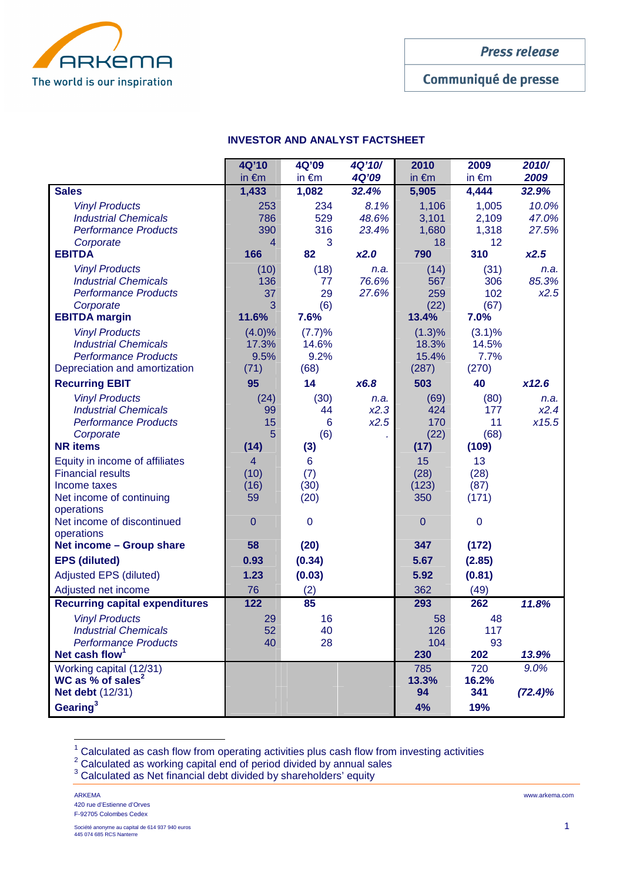

Communiqué de presse

# **INVESTOR AND ANALYST FACTSHEET**

|                                                          | 4Q'10                 | 4Q'09           | 4Q'10/        | 2010            | 2009            | 2010/         |
|----------------------------------------------------------|-----------------------|-----------------|---------------|-----------------|-----------------|---------------|
|                                                          | in $\epsilon$ m       | in $\epsilon$ m | 4Q'09         | in $\epsilon$ m | in $\epsilon$ m | 2009          |
| <b>Sales</b>                                             | 1,433                 | 1,082           | 32.4%         | 5,905           | 4,444           | 32.9%         |
| <b>Vinyl Products</b>                                    | 253                   | 234             | 8.1%          | 1,106           | 1,005           | 10.0%         |
| <b>Industrial Chemicals</b>                              | 786                   | 529             | 48.6%         | 3,101           | 2,109           | 47.0%         |
| <b>Performance Products</b>                              | 390                   | 316             | 23.4%         | 1,680           | 1,318           | 27.5%         |
| Corporate<br><b>EBITDA</b>                               | $\overline{4}$<br>166 | 3<br>82         | x2.0          | 18<br>790       | 12<br>310       | x2.5          |
|                                                          |                       |                 |               |                 |                 |               |
| <b>Vinyl Products</b><br><b>Industrial Chemicals</b>     | (10)<br>136           | (18)<br>77      | n.a.<br>76.6% | (14)<br>567     | (31)<br>306     | n.a.<br>85.3% |
| <b>Performance Products</b>                              | 37                    | 29              | 27.6%         | 259             | 102             | x2.5          |
| Corporate                                                | 3                     | (6)             |               | (22)            | (67)            |               |
| <b>EBITDA</b> margin                                     | 11.6%                 | 7.6%            |               | 13.4%           | 7.0%            |               |
| <b>Vinyl Products</b>                                    | $(4.0)\%$             | (7.7)%          |               | $(1.3)\%$       | (3.1)%          |               |
| <b>Industrial Chemicals</b>                              | 17.3%                 | 14.6%           |               | 18.3%           | 14.5%           |               |
| <b>Performance Products</b>                              | 9.5%                  | 9.2%            |               | 15.4%           | 7.7%            |               |
| Depreciation and amortization                            | (71)                  | (68)            |               | (287)           | (270)           |               |
| <b>Recurring EBIT</b>                                    | 95                    | 14              | x6.8          | 503             | 40              | x12.6         |
| <b>Vinyl Products</b>                                    | (24)                  | (30)            | n.a.          | (69)            | (80)            | n.a.          |
| <b>Industrial Chemicals</b>                              | 99                    | 44              | x2.3          | 424             | 177             | x2.4          |
| <b>Performance Products</b>                              | 15<br>5               | 6<br>(6)        | x2.5          | 170<br>(22)     | 11<br>(68)      | x15.5         |
| Corporate<br><b>NR</b> items                             | (14)                  | (3)             |               | (17)            | (109)           |               |
| Equity in income of affiliates                           | $\overline{4}$        | $6\phantom{1}6$ |               | 15              | 13              |               |
| <b>Financial results</b>                                 | (10)                  | (7)             |               | (28)            | (28)            |               |
| Income taxes                                             | (16)                  | (30)            |               | (123)           | (87)            |               |
| Net income of continuing                                 | 59                    | (20)            |               | 350             | (171)           |               |
| operations                                               |                       |                 |               |                 |                 |               |
| Net income of discontinued                               | $\overline{0}$        | $\overline{0}$  |               | 0               | $\mathbf 0$     |               |
| operations<br>Net income - Group share                   | 58                    | (20)            |               | 347             | (172)           |               |
| <b>EPS (diluted)</b>                                     | 0.93                  | (0.34)          |               | 5.67            | (2.85)          |               |
| <b>Adjusted EPS (diluted)</b>                            | 1.23                  | (0.03)          |               | 5.92            | (0.81)          |               |
| Adjusted net income                                      | 76                    | (2)             |               | 362             | (49)            |               |
| <b>Recurring capital expenditures</b>                    | 122                   | 85              |               | 293             | 262             | 11.8%         |
| <b>Vinyl Products</b>                                    | 29                    | 16              |               | 58              | 48              |               |
| <b>Industrial Chemicals</b>                              | 52                    | 40              |               | 126             | 117             |               |
| <b>Performance Products</b>                              | 40                    | 28              |               | 104             | 93              |               |
| Net cash flow <sup>1</sup>                               |                       |                 |               | 230             | 202             | 13.9%         |
| Working capital (12/31)                                  |                       |                 |               | 785             | 720             | 9.0%          |
| WC as % of sales <sup>2</sup><br><b>Net debt (12/31)</b> |                       |                 |               | 13.3%<br>94     | 16.2%<br>341    | $(72.4)\%$    |
| Gearing <sup>3</sup>                                     |                       |                 |               |                 |                 |               |
|                                                          |                       |                 |               | 4%              | 19%             |               |

 $^1$  Calculated as cash flow from operating activities plus cash flow from investing activities<br> $^2$  Calculated as working capital end of period divided by annual sales

 $3$  Calculated as Net financial debt divided by shareholders' equity

ARKEMA www.arkema.com 420 rue d'Estienne d'Orves F-92705 Colombes Cedex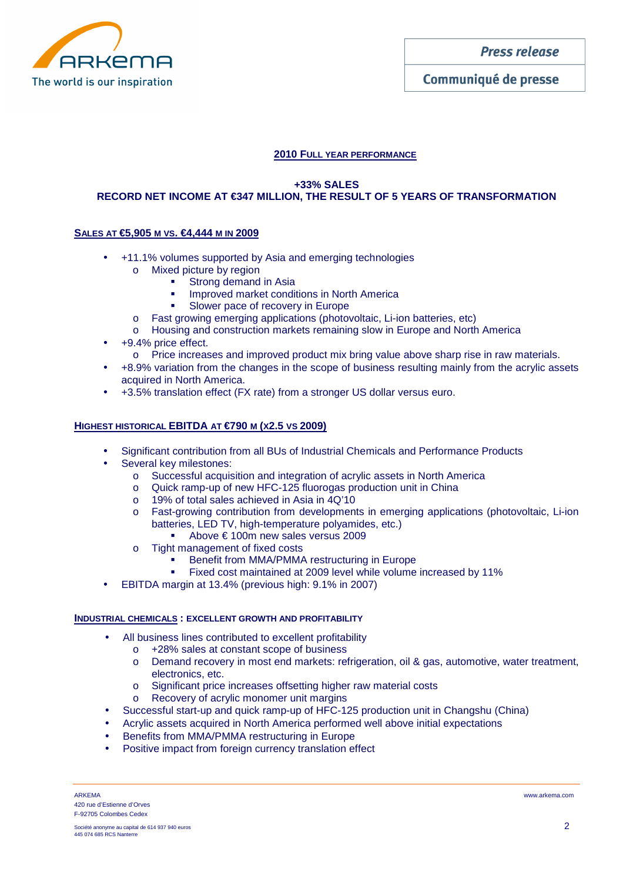

### **2010 FULL YEAR PERFORMANCE**

### **+33% SALES RECORD NET INCOME AT €347 MILLION, THE RESULT OF 5 YEARS OF TRANSFORMATION**

# **SALES AT €5,905 M VS. €4,444 M IN 2009**

- +11.1% volumes supported by Asia and emerging technologies
	- o Mixed picture by region
		- **Strong demand in Asia**
		- **IMPROVED MARKET CONDUCTS IN NORTH AMERICA**
		- **Slower pace of recovery in Europe**
	- o Fast growing emerging applications (photovoltaic, Li-ion batteries, etc)
	- o Housing and construction markets remaining slow in Europe and North America
- +9.4% price effect.
	- o Price increases and improved product mix bring value above sharp rise in raw materials.
- +8.9% variation from the changes in the scope of business resulting mainly from the acrylic assets acquired in North America.
- +3.5% translation effect (FX rate) from a stronger US dollar versus euro.

# **HIGHEST HISTORICAL EBITDA AT €790 M (X2.5 VS 2009)**

- Significant contribution from all BUs of Industrial Chemicals and Performance Products
- Several key milestones:
	- o Successful acquisition and integration of acrylic assets in North America
	- o Quick ramp-up of new HFC-125 fluorogas production unit in China
	- o 19% of total sales achieved in Asia in 4Q'10
	- o Fast-growing contribution from developments in emerging applications (photovoltaic, Li-ion batteries, LED TV, high-temperature polyamides, etc.)
		- Above € 100m new sales versus 2009
	- o Tight management of fixed costs
		- Benefit from MMA/PMMA restructuring in Europe
		- **Fixed cost maintained at 2009 level while volume increased by 11%**
- EBITDA margin at 13.4% (previous high: 9.1% in 2007)

### **INDUSTRIAL CHEMICALS : EXCELLENT GROWTH AND PROFITABILITY**

- All business lines contributed to excellent profitability
	- o +28% sales at constant scope of business
	- o Demand recovery in most end markets: refrigeration, oil & gas, automotive, water treatment, electronics, etc.
	- o Significant price increases offsetting higher raw material costs
	- o Recovery of acrylic monomer unit margins
- Successful start-up and quick ramp-up of HFC-125 production unit in Changshu (China)
- Acrylic assets acquired in North America performed well above initial expectations
- Benefits from MMA/PMMA restructuring in Europe
- Positive impact from foreign currency translation effect

ARKEMA www.arkema.com 420 rue d'Estienne d'Orves F-92705 Colombes Cedex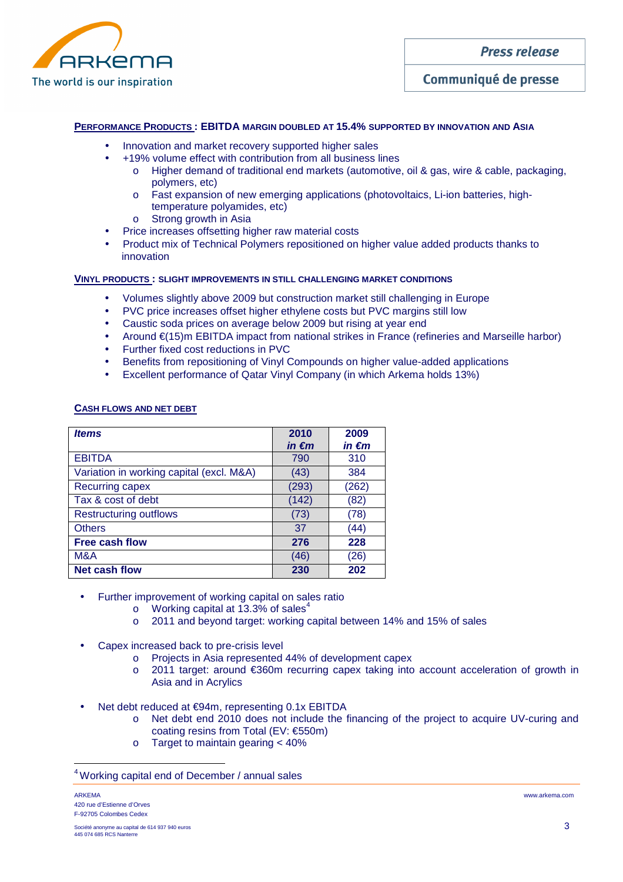

# Communiqué de presse

### **PERFORMANCE PRODUCTS : EBITDA MARGIN DOUBLED AT 15.4% SUPPORTED BY INNOVATION AND ASIA**

- Innovation and market recovery supported higher sales
- +19% volume effect with contribution from all business lines
	- o Higher demand of traditional end markets (automotive, oil & gas, wire & cable, packaging, polymers, etc)
	- o Fast expansion of new emerging applications (photovoltaics, Li-ion batteries, hightemperature polyamides, etc)
	- o Strong growth in Asia
- Price increases offsetting higher raw material costs
- Product mix of Technical Polymers repositioned on higher value added products thanks to innovation

### **VINYL PRODUCTS : SLIGHT IMPROVEMENTS IN STILL CHALLENGING MARKET CONDITIONS**

- Volumes slightly above 2009 but construction market still challenging in Europe
- PVC price increases offset higher ethylene costs but PVC margins still low
- Caustic soda prices on average below 2009 but rising at year end
- Around €(15)m EBITDA impact from national strikes in France (refineries and Marseille harbor)
- Further fixed cost reductions in PVC
- Benefits from repositioning of Vinyl Compounds on higher value-added applications
- Excellent performance of Qatar Vinyl Company (in which Arkema holds 13%)

#### **CASH FLOWS AND NET DEBT**

| <i><u><b>Items</b></u></i>               | 2010            | 2009            |
|------------------------------------------|-----------------|-----------------|
|                                          | in $\epsilon$ m | in $\epsilon$ m |
| <b>EBITDA</b>                            | 790             | 310             |
| Variation in working capital (excl. M&A) | (43)            | 384             |
| Recurring capex                          | (293)           | (262)           |
| Tax & cost of debt                       | (142)           | (82)            |
| <b>Restructuring outflows</b>            | (73)            | (78)            |
| <b>Others</b>                            | 37              | (44)            |
| <b>Free cash flow</b>                    | 276             | 228             |
| M&A                                      | (46)            | (26)            |
| <b>Net cash flow</b>                     | 230             | 202             |

- Further improvement of working capital on sales ratio
	- $\circ$  Working capital at 13.3% of sales<sup>4</sup>
	- o 2011 and beyond target: working capital between 14% and 15% of sales
- Capex increased back to pre-crisis level
	- o Projects in Asia represented 44% of development capex
	- o 2011 target: around €360m recurring capex taking into account acceleration of growth in Asia and in Acrylics
- Net debt reduced at €94m, representing 0.1x EBITDA
	- o Net debt end 2010 does not include the financing of the project to acquire UV-curing and coating resins from Total (EV: €550m)
	- o Target to maintain gearing < 40%

ARKEMA www.arkema.com 420 rue d'Estienne d'Orves F-92705 Colombes Cedex

 $\overline{\phantom{a}}$ 

<sup>4</sup>Working capital end of December / annual sales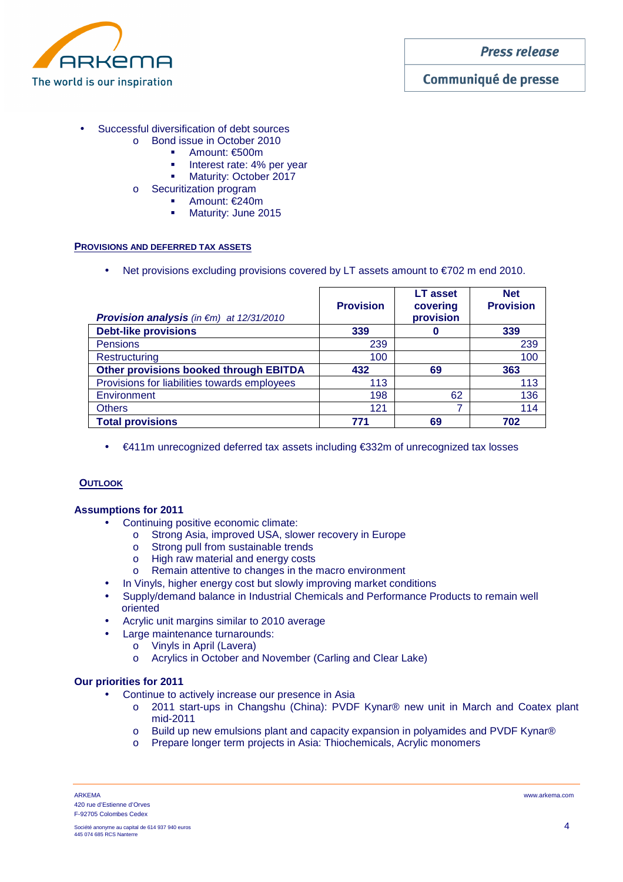

# Communiqué de presse

- Successful diversification of debt sources
	- o Bond issue in October 2010
		- Amount: €500m
		- Interest rate: 4% per year<br>Interest rate: 0ctober 2017
		- Maturity: October 2017
	- o Securitization program
		- Amount: €240m
		- **Maturity: June 2015**

### **PROVISIONS AND DEFERRED TAX ASSETS**

• Net provisions excluding provisions covered by LT assets amount to €702 m end 2010.

| <b>Provision analysis</b> (in $\notin$ m) at 12/31/2010 | <b>Provision</b> | <b>LT</b> asset<br>covering<br>provision | <b>Net</b><br><b>Provision</b> |
|---------------------------------------------------------|------------------|------------------------------------------|--------------------------------|
| <b>Debt-like provisions</b>                             | 339              |                                          | 339                            |
| <b>Pensions</b>                                         | 239              |                                          | 239                            |
| Restructuring                                           | 100              |                                          | 100                            |
| <b>Other provisions booked through EBITDA</b>           | 432              | 69                                       | 363                            |
| Provisions for liabilities towards employees            | 113              |                                          | 113                            |
| Environment                                             | 198              | 62                                       | 136                            |
| <b>Others</b>                                           | 121              | 7                                        | 114                            |
| <b>Total provisions</b>                                 | 771              | 69                                       | 702                            |

• €411m unrecognized deferred tax assets including €332m of unrecognized tax losses

### **OUTLOOK**

### **Assumptions for 2011**

- Continuing positive economic climate:
	- o Strong Asia, improved USA, slower recovery in Europe
	- o Strong pull from sustainable trends
	- o High raw material and energy costs
	- o Remain attentive to changes in the macro environment
	- In Vinyls, higher energy cost but slowly improving market conditions
- Supply/demand balance in Industrial Chemicals and Performance Products to remain well oriented
- Acrylic unit margins similar to 2010 average
- Large maintenance turnarounds:
	- o Vinyls in April (Lavera)
	- o Acrylics in October and November (Carling and Clear Lake)

#### **Our priorities for 2011**

- Continue to actively increase our presence in Asia
	- o 2011 start-ups in Changshu (China): PVDF Kynar® new unit in March and Coatex plant mid-2011
	- o Build up new emulsions plant and capacity expansion in polyamides and PVDF Kynar®
	- o Prepare longer term projects in Asia: Thiochemicals, Acrylic monomers

ARKEMA www.arkema.com 420 rue d'Estienne d'Orves F-92705 Colombes Cedex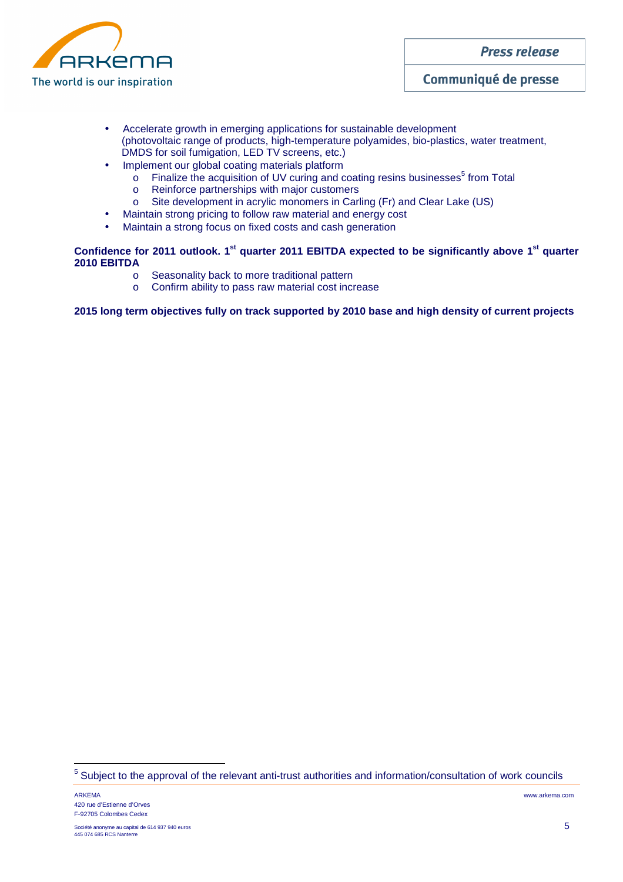

# Communiqué de presse

- Accelerate growth in emerging applications for sustainable development (photovoltaic range of products, high-temperature polyamides, bio-plastics, water treatment, DMDS for soil fumigation, LED TV screens, etc.)
- Implement our global coating materials platform
	- $\circ$  Finalize the acquisition of UV curing and coating resins businesses<sup>5</sup> from Total
	- o Reinforce partnerships with major customers
	- o Site development in acrylic monomers in Carling (Fr) and Clear Lake (US)
- Maintain strong pricing to follow raw material and energy cost
- Maintain a strong focus on fixed costs and cash generation

# **Confidence for 2011 outlook. 1st quarter 2011 EBITDA expected to be significantly above 1st quarter 2010 EBITDA**

- o Seasonality back to more traditional pattern
- o Confirm ability to pass raw material cost increase

**2015 long term objectives fully on track supported by 2010 base and high density of current projects** 

 $\overline{a}$ 

<sup>&</sup>lt;sup>5</sup> Subject to the approval of the relevant anti-trust authorities and information/consultation of work councils